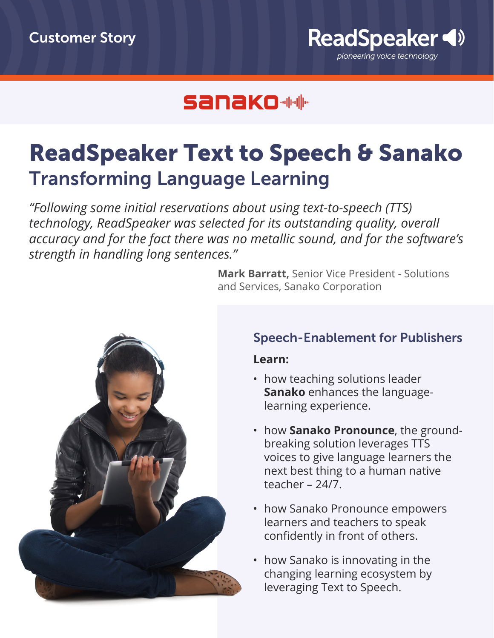

### **Sanako ##**

## ReadSpeaker Text to Speech & Sanako Transforming Language Learning

*"Following some initial reservations about using text-to-speech (TTS) technology, ReadSpeaker was selected for its outstanding quality, overall accuracy and for the fact there was no metallic sound, and for the software's strength in handling long sentences."*

> **Mark Barratt,** Senior Vice President - Solutions and Services, Sanako Corporation



#### Speech-Enablement for Publishers

#### **Learn:**

- how teaching solutions leader **Sanako** enhances the languagelearning experience.
- how **Sanako Pronounce**, the groundbreaking solution leverages TTS voices to give language learners the next best thing to a human native teacher – 24/7.
- how Sanako Pronounce empowers learners and teachers to speak confidently in front of others.
- how Sanako is innovating in the changing learning ecosystem by leveraging Text to Speech.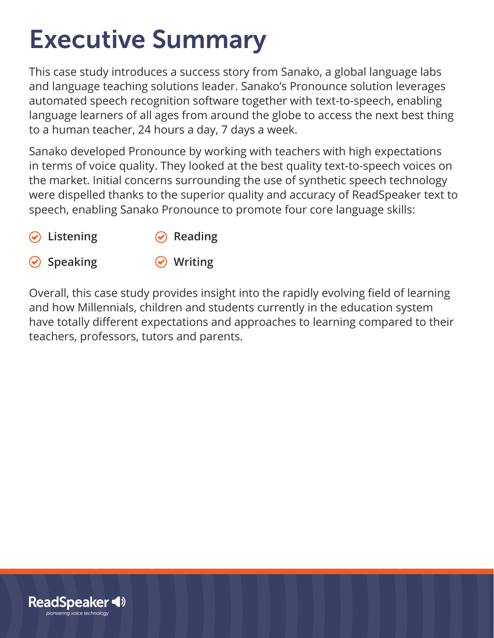# Executive Summary

This case study introduces a success story from Sanako, a global language labs and language teaching solutions leader. Sanako's Pronounce solution leverages automated speech recognition software together with text-to-speech, enabling language learners of all ages from around the globe to access the next best thing to a human teacher, 24 hours a day, 7 days a week.

Sanako developed Pronounce by working with teachers with high expectations in terms of voice quality. They looked at the best quality text-to-speech voices on the market. Initial concerns surrounding the use of synthetic speech technology were dispelled thanks to the superior quality and accuracy of ReadSpeaker text to speech, enabling Sanako Pronounce to promote four core language skills:

- **Listening ⊘** Reading
- **⊘** Speaking

**Writing**

Overall, this case study provides insight into the rapidly evolving field of learning and how Millennials, children and students currently in the education system have totally different expectations and approaches to learning compared to their teachers, professors, tutors and parents.

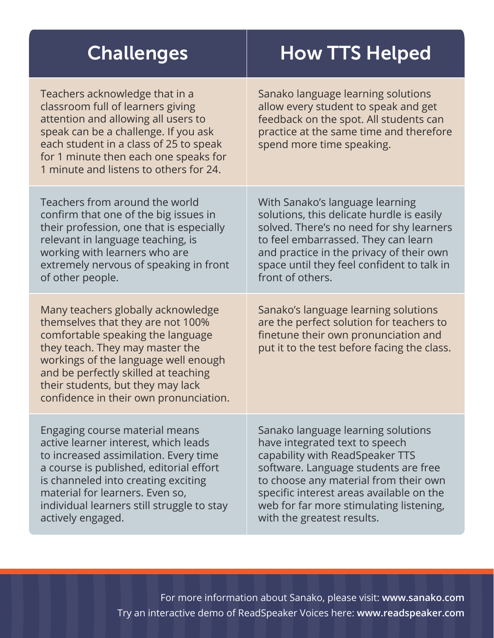| <b>Challenges</b>                                                                                                                                                                                                                                                                                              | <b>How TTS Helped</b>                                                                                                                                                                                                                                                                                         |
|----------------------------------------------------------------------------------------------------------------------------------------------------------------------------------------------------------------------------------------------------------------------------------------------------------------|---------------------------------------------------------------------------------------------------------------------------------------------------------------------------------------------------------------------------------------------------------------------------------------------------------------|
| Teachers acknowledge that in a<br>classroom full of learners giving<br>attention and allowing all users to<br>speak can be a challenge. If you ask<br>each student in a class of 25 to speak<br>for 1 minute then each one speaks for<br>1 minute and listens to others for 24.                                | Sanako language learning solutions<br>allow every student to speak and get<br>feedback on the spot. All students can<br>practice at the same time and therefore<br>spend more time speaking.                                                                                                                  |
| Teachers from around the world<br>confirm that one of the big issues in<br>their profession, one that is especially<br>relevant in language teaching, is<br>working with learners who are<br>extremely nervous of speaking in front<br>of other people.                                                        | With Sanako's language learning<br>solutions, this delicate hurdle is easily<br>solved. There's no need for shy learners<br>to feel embarrassed. They can learn<br>and practice in the privacy of their own<br>space until they feel confident to talk in<br>front of others.                                 |
| Many teachers globally acknowledge<br>themselves that they are not 100%<br>comfortable speaking the language<br>they teach. They may master the<br>workings of the language well enough<br>and be perfectly skilled at teaching<br>their students, but they may lack<br>confidence in their own pronunciation. | Sanako's language learning solutions<br>are the perfect solution for teachers to<br>finetune their own pronunciation and<br>put it to the test before facing the class.                                                                                                                                       |
| Engaging course material means<br>active learner interest, which leads<br>to increased assimilation. Every time<br>a course is published, editorial effort<br>is channeled into creating exciting<br>material for learners. Even so,<br>individual learners still struggle to stay<br>actively engaged.        | Sanako language learning solutions<br>have integrated text to speech<br>capability with ReadSpeaker TTS<br>software. Language students are free<br>to choose any material from their own<br>specific interest areas available on the<br>web for far more stimulating listening,<br>with the greatest results. |

For more information about Sanako, please visit: **www.sanako.com** Try an interactive demo of ReadSpeaker Voices here: **www.readspeaker.com**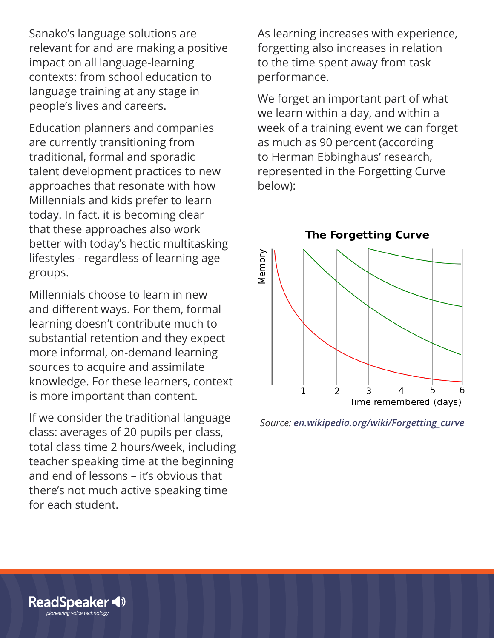Sanako's language solutions are relevant for and are making a positive impact on all language-learning contexts: from school education to language training at any stage in people's lives and careers.

Education planners and companies are currently transitioning from traditional, formal and sporadic talent development practices to new approaches that resonate with how Millennials and kids prefer to learn today. In fact, it is becoming clear that these approaches also work better with today's hectic multitasking lifestyles - regardless of learning age groups.

Millennials choose to learn in new and different ways. For them, formal learning doesn't contribute much to substantial retention and they expect more informal, on-demand learning sources to acquire and assimilate knowledge. For these learners, context is more important than content.

If we consider the traditional language class: averages of 20 pupils per class, total class time 2 hours/week, including teacher speaking time at the beginning and end of lessons – it's obvious that there's not much active speaking time for each student.

As learning increases with experience, forgetting also increases in relation to the time spent away from task performance.

We forget an important part of what we learn within a day, and within a week of a training event we can forget as much as 90 percent (according to Herman Ebbinghaus' research, represented in the Forgetting Curve below):

**The Forgetting Curve** 



*Source: en.wikipedia.org/wiki/Forgetting\_curve*

**ReadSpeaker** pioneering voice technology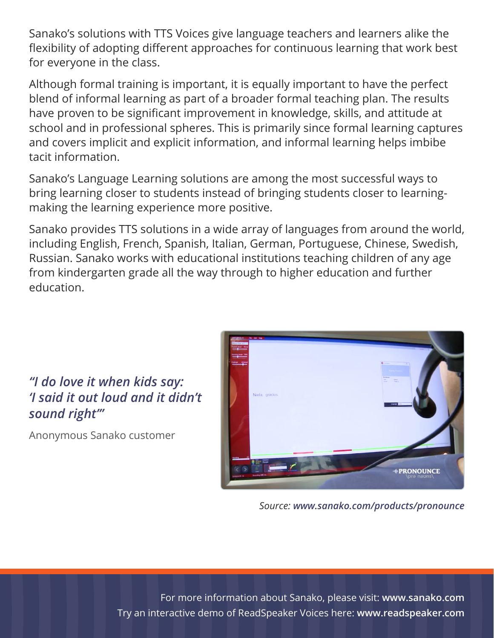Sanako's solutions with TTS Voices give language teachers and learners alike the flexibility of adopting different approaches for continuous learning that work best for everyone in the class.

Although formal training is important, it is equally important to have the perfect blend of informal learning as part of a broader formal teaching plan. The results have proven to be significant improvement in knowledge, skills, and attitude at school and in professional spheres. This is primarily since formal learning captures and covers implicit and explicit information, and informal learning helps imbibe tacit information.

Sanako's Language Learning solutions are among the most successful ways to bring learning closer to students instead of bringing students closer to learningmaking the learning experience more positive.

Sanako provides TTS solutions in a wide array of languages from around the world, including English, French, Spanish, Italian, German, Portuguese, Chinese, Swedish, Russian. Sanako works with educational institutions teaching children of any age from kindergarten grade all the way through to higher education and further education.



*Source: www.sanako.com/products/pronounce*

For more information about Sanako, please visit: **www.sanako.com** Try an interactive demo of ReadSpeaker Voices here: **www.readspeaker.com**

### *"I do love it when kids say: 'I said it out loud and it didn't sound right'"*

Anonymous Sanako customer